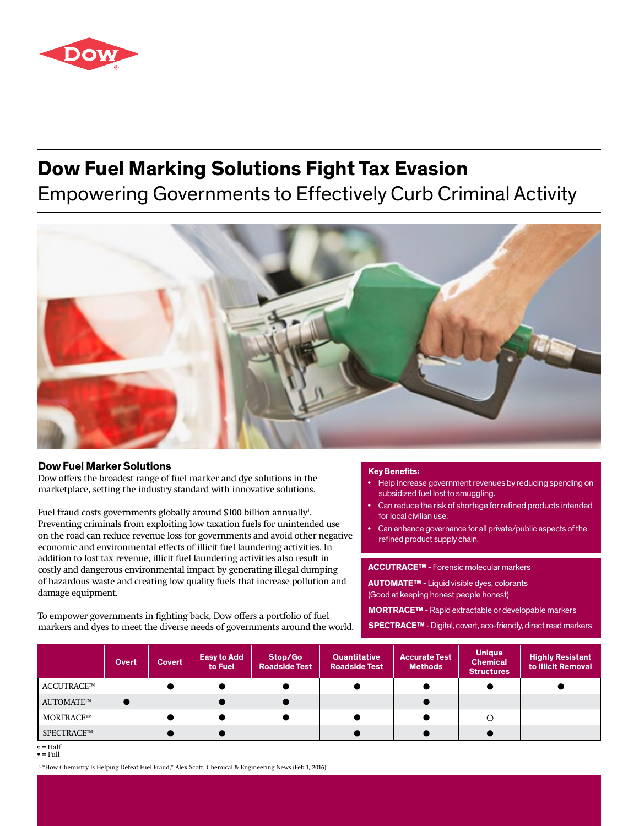

# **Dow Fuel Marking Solutions Fight Tax Evasion**

## Empowering Governments to Effectively Curb Criminal Activity



## **Dow Fuel Marker Solutions**

Dow offers the broadest range of fuel marker and dye solutions in the marketplace, setting the industry standard with innovative solutions.

Fuel fraud costs governments globally around \$100 billion annually<sup>1</sup>. Preventing criminals from exploiting low taxation fuels for unintended use on the road can reduce revenue loss for governments and avoid other negative economic and environmental effects of illicit fuel laundering activities. In addition to lost tax revenue, illicit fuel laundering activities also result in costly and dangerous environmental impact by generating illegal dumping of hazardous waste and creating low quality fuels that increase pollution and damage equipment.

To empower governments in fighting back, Dow offers a portfolio of fuel markers and dyes to meet the diverse needs of governments around the world.

### **Key Benefits:**

- Help increase government revenues by reducing spending on subsidized fuel lost to smuggling.
- Can reduce the risk of shortage for refined products intended for local civilian use.
- Can enhance governance for all private/public aspects of the refined product supply chain.

**ACCUTRACE™** - Forensic molecular markers

**AUTOMATE™** - Liquid visible dyes, colorants (Good at keeping honest people honest)

**MORTRACE™** - Rapid extractable or developable markers

**SPECTRACE™** - Digital, covert, eco-friendly, direct read markers

|            | Overt | Covert | <b>Easy to Add</b><br>to Fuel | Stop/Go<br><b>Roadside Test</b> | <b>Quantitative</b><br><b>Roadside Test</b> | <b>Accurate Test</b><br><b>Methods</b> | <b>Unique</b><br><b>Chemical</b><br><b>Structures</b> | <b>Highly Resistant</b><br>to Illicit Removal |
|------------|-------|--------|-------------------------------|---------------------------------|---------------------------------------------|----------------------------------------|-------------------------------------------------------|-----------------------------------------------|
| ACCUTRACE™ |       |        |                               |                                 |                                             |                                        |                                                       |                                               |
| AUTOMATE™  |       |        |                               |                                 |                                             |                                        |                                                       |                                               |
| MORTRACE™  |       |        |                               |                                 |                                             |                                        | O                                                     |                                               |
| SPECTRACE™ |       |        |                               |                                 |                                             |                                        |                                                       |                                               |

 $\circ$  = Half  $\bullet$  = Full

1 "How Chemistry Is Helping Defeat Fuel Fraud," Alex Scott, Chemical & Engineering News (Feb 1, 2016)